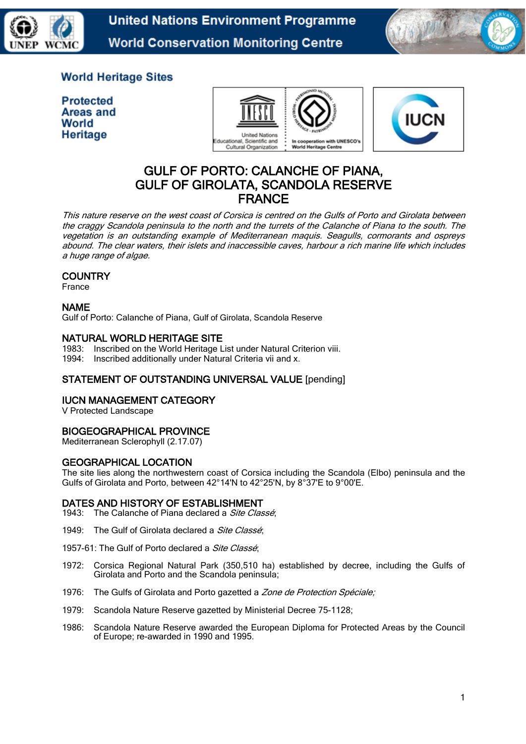

**United Nations Environment Programme World Conservation Monitoring Centre** 



# **World Heritage Sites**

**Protected Areas and** World Heritage





# GULF OF PORTO: CALANCHE OF PIANA, GULF OF GIROLATA, SCANDOLA RESERVE FRANCE

This nature reserve on the west coast of Corsica is centred on the Gulfs of Porto and Girolata between the craggy Scandola peninsula to the north and the turrets of the Calanche of Piana to the south. The vegetation is an outstanding example of Mediterranean maquis. Seagulls, cormorants and ospreys abound. The clear waters, their islets and inaccessible caves, harbour a rich marine life which includes a huge range of algae.

# **COUNTRY**

France

# NAME

Gulf of Porto: Calanche of Piana, Gulf of Girolata, Scandola Reserve

### NATURAL WORLD HERITAGE SITE

- 1983: Inscribed on the World Heritage List under Natural Criterion viii.
- 1994: Inscribed additionally under Natural Criteria vii and x.

# STATEMENT OF OUTSTANDING UNIVERSAL VALUE [pending]

# IUCN MANAGEMENT CATEGORY

V Protected Landscape

# BIOGEOGRAPHICAL PROVINCE

Mediterranean Sclerophyll (2.17.07)

#### GEOGRAPHICAL LOCATION

The site lies along the northwestern coast of Corsica including the Scandola (Elbo) peninsula and the Gulfs of Girolata and Porto, between 42°14'N to 42°25'N, by 8°37'E to 9°00'E.

# DATES AND HISTORY OF ESTABLISHMENT

1943: The Calanche of Piana declared a Site Classé;

1949: The Gulf of Girolata declared a Site Classé:

1957-61: The Gulf of Porto declared a *Site Classé*:

- 1972: Corsica Regional Natural Park (350,510 ha) established by decree, including the Gulfs of Girolata and Porto and the Scandola peninsula;
- 1976: The Gulfs of Girolata and Porto gazetted a Zone de Protection Spéciale;
- 1979: Scandola Nature Reserve gazetted by Ministerial Decree 75-1128;
- 1986: Scandola Nature Reserve awarded the European Diploma for Protected Areas by the Council of Europe; re-awarded in 1990 and 1995.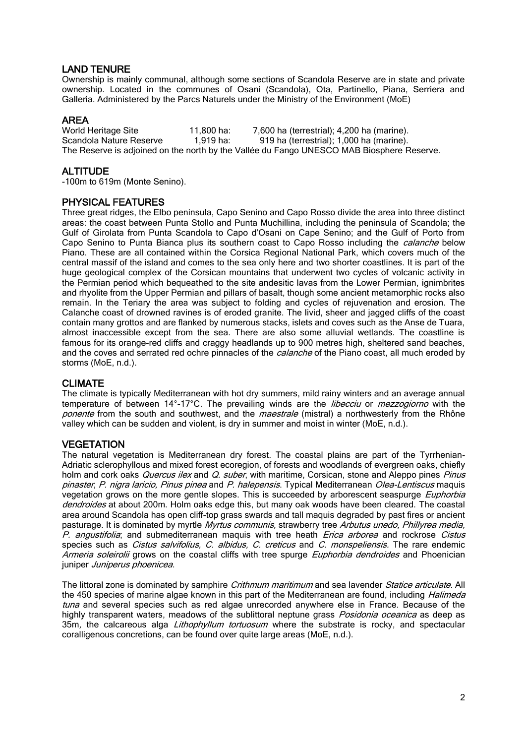# LAND TENURE

Ownership is mainly communal, although some sections of Scandola Reserve are in state and private ownership. Located in the communes of Osani (Scandola), Ota, Partinello, Piana, Serriera and Galleria. Administered by the Parcs Naturels under the Ministry of the Environment (MoE)

**AREA**<br>World Heritage Site 11,800 ha: 7,600 ha (terrestrial); 4,200 ha (marine). Scandola Nature Reserve 1,919 ha: 919 ha (terrestrial); 1,000 ha (marine). The Reserve is adjoined on the north by the Vallée du Fango UNESCO MAB Biosphere Reserve.

# **ALTITUDE**

-100m to 619m (Monte Senino).

# PHYSICAL FEATURES

Three great ridges, the Elbo peninsula, Capo Senino and Capo Rosso divide the area into three distinct areas: the coast between Punta Stollo and Punta Muchillina, including the peninsula of Scandola; the Gulf of Girolata from Punta Scandola to Capo d'Osani on Cape Senino; and the Gulf of Porto from Capo Senino to Punta Bianca plus its southern coast to Capo Rosso including the *calanche* below Piano. These are all contained within the Corsica Regional National Park, which covers much of the central massif of the island and comes to the sea only here and two shorter coastlines. It is part of the huge geological complex of the Corsican mountains that underwent two cycles of volcanic activity in the Permian period which bequeathed to the site andesitic lavas from the Lower Permian, ignimbrites and rhyolite from the Upper Permian and pillars of basalt, though some ancient metamorphic rocks also remain. In the Teriary the area was subject to folding and cycles of rejuvenation and erosion. The Calanche coast of drowned ravines is of eroded granite. The livid, sheer and jagged cliffs of the coast contain many grottos and are flanked by numerous stacks, islets and coves such as the Anse de Tuara, almost inaccessible except from the sea. There are also some alluvial wetlands. The coastline is famous for its orange-red cliffs and craggy headlands up to 900 metres high, sheltered sand beaches, and the coves and serrated red ochre pinnacles of the *calanche* of the Piano coast, all much eroded by storms (MoE, n.d.).

#### CLIMATE

The climate is typically Mediterranean with hot dry summers, mild rainy winters and an average annual temperature of between 14°-17°C. The prevailing winds are the *libecciu* or *mezzogiorno* with the ponente from the south and southwest, and the *maestrale* (mistral) a northwesterly from the Rhône valley which can be sudden and violent, is dry in summer and moist in winter (MoE, n.d.).

#### **VEGETATION**

The natural vegetation is Mediterranean dry forest. The coastal plains are part of the Tyrrhenian-Adriatic sclerophyllous and mixed forest [ecoregion,](http://en.wikipedia.org/wiki/Terrestrial_ecoregion) of forests and woodlands of [evergreen](http://en.wikipedia.org/wiki/Evergreen) [oaks,](http://en.wikipedia.org/wiki/Oak) chiefly holm and cork oaks *Quercus ilex* and *Q. suber*, with maritime, Corsican, stone and Aleppo pines Pinus pinaster, P. nigra laricio, Pinus pinea and P. halepensis. Typical Mediterranean Olea-Lentiscus maquis vegetation grows on the more gentle slopes. This is succeeded by arborescent seaspurge Euphorbia dendroides at about 200m. Holm oaks edge this, but many oak woods have been cleared. The coastal area around Scandola has open cliff-top grass swards and tall maquis degraded by past fires or ancient pasturage. It is dominated by myrtle Myrtus communis, strawberry tree Arbutus unedo, Phillyrea media, P. angustifolia; and submediterranean maquis with tree heath Erica arborea and rockrose Cistus species such as *Cistus salvifolius, C. albidus, C. creticus* and *C. monspeliensis*. The rare endemic Armeria soleirolii grows on the coastal cliffs with tree spurge Euphorbia dendroides and Phoenician juniper Juniperus phoenicea.

The littoral zone is dominated by samphire Crithmum maritimum and sea lavender Statice articulate. All the 450 species of marine algae known in this part of the Mediterranean are found, including *Halimeda* tuna and several species such as red algae unrecorded anywhere else in France. Because of the highly transparent waters, meadows of the sublittoral neptune grass *Posidonia oceanica* as deep as 35m, the calcareous alga *Lithophyllum tortuosum* where the substrate is rocky, and spectacular coralligenous concretions, can be found over quite large areas (MoE, n.d.).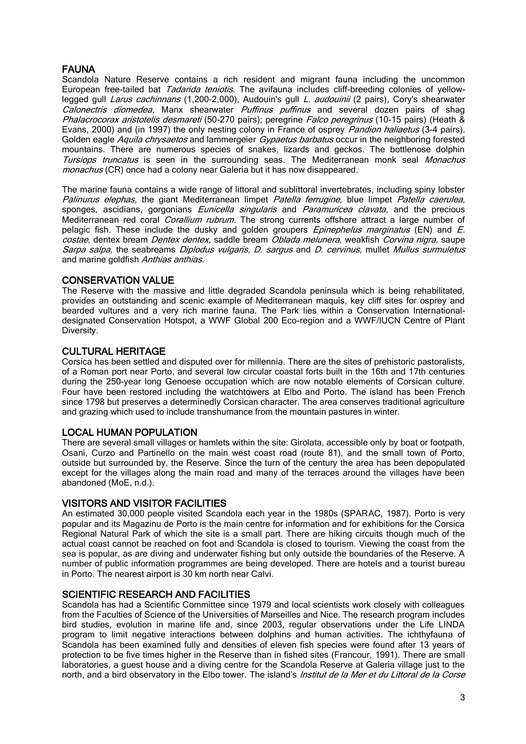# **FAUNA**

Scandola Nature Reserve contains a rich resident and migrant fauna including the uncommon European free-tailed bat *Tadarida teniotis*. The avifauna includes cliff-breeding colonies of yellowlegged gull Larus cachinnans (1,200-2,000), Audouin's gull L. audouinii (2 pairs), Cory's shearwater Calonectris diomedea, Manx shearwater Puffinus puffinus and several dozen pairs of shag Phalacrocorax aristotelis desmareti (50-270 pairs); peregrine Falco peregrinus (10-15 pairs) (Heath & Evans, 2000) and (in 1997) the only nesting colony in France of osprey *Pandion haliaetus* (3-4 pairs). Golden eagle Aquila chrysaetos and lammergeier Gypaetus barbatus occur in the neighboring forested mountains. There are numerous species of snakes, lizards and geckos. The bottlenose dolphin Tursiops truncatus is seen in the surrounding seas. The Mediterranean monk seal Monachus monachus (CR) once had a colony near Galeria but it has now disappeared.

The marine fauna contains a wide range of littoral and sublittoral invertebrates, including spiny lobster Palinurus elephas, the giant Mediterranean limpet Patella ferrugine, blue limpet Patella caerulea, sponges, ascidians, gorgonians *Eunicella singularis* and *Paramuricea clavata*, and the precious Mediterranean red coral *Corallium rubrum*. The strong currents offshore attract a large number of pelagic fish. These include the dusky and golden groupers *Epinephelus marginatus* (EN) and  $E$ . costae, dentex bream Dentex dentex, saddle bream Oblada melunera, weakfish Corvina nigra, saupe Sarpa salpa, the seabreams Diplodus vulgaris, D. sargus and D. cervinus, mullet Mullus surmuletus and marine goldfish Anthias anthias.

### CONSERVATION VALUE

The Reserve with the massive and little degraded Scandola peninsula which is being rehabilitated, provides an outstanding and scenic example of Mediterranean maquis, key cliff sites for osprey and bearded vultures and a very rich marine fauna. The Park lies within a Conservation Internationaldesignated Conservation Hotspot, a WWF Global 200 Eco-region and a WWF/IUCN Centre of Plant Diversity.

### CULTURAL HERITAGE

Corsica has been settled and disputed over for millennia. There are the sites of prehistoric pastoralists, of a Roman port near Porto, and several low circular coastal forts built in the 16th and 17th centuries during the 250-year long Genoese occupation which are now notable elements of Corsican culture. Four have been restored including the watchtowers at Elbo and Porto. The island has been French since 1798 but preserves a determinedly Corsican character. The area conserves traditional agriculture and grazing which used to include transhumance from the mountain pastures in winter.

#### LOCAL HUMAN POPULATION

There are several small villages or hamlets within the site: Girolata, accessible only by boat or footpath, Osani, Curzo and Partinello on the main west coast road (route 81), and the small town of Porto, outside but surrounded by, the Reserve. Since the turn of the century the area has been depopulated except for the villages along the main road and many of the terraces around the villages have been abandoned (MoE, n.d.).

#### VISITORS AND VISITOR FACILITIES

An estimated 30,000 people visited Scandola each year in the 1980s (SPARAC, 1987). Porto is very popular and its Magazinu de Porto is the main centre for information and for exhibitions for the Corsica Regional Natural Park of which the site is a small part. There are hiking circuits though much of the actual coast cannot be reached on foot and Scandola is closed to tourism. Viewing the coast from the sea is popular, as are diving and underwater fishing but only outside the boundaries of the Reserve. A number of public information programmes are being developed. There are hotels and a tourist bureau in Porto. The nearest airport is 30 km north near Calvi.

#### SCIENTIFIC RESEARCH AND FACILITIES

Scandola has had a Scientific Committee since 1979 and local scientists work closely with colleagues from the Faculties of Science of the Universities of Marseilles and Nice. The research program includes bird studies, evolution in marine life and, since 2003, regular observations under the Life LINDA program to limit negative interactions between dolphins and human activities. The ichthyfauna of Scandola has been examined fully and densities of eleven fish species were found after 13 years of protection to be five times higher in the Reserve than in fished sites (Francour, 1991). There are small laboratories, a guest house and a diving centre for the Scandola Reserve at Galeria village just to the north, and a bird observatory in the Elbo tower. The island's *Institut de la Mer et du Littoral de la Corse*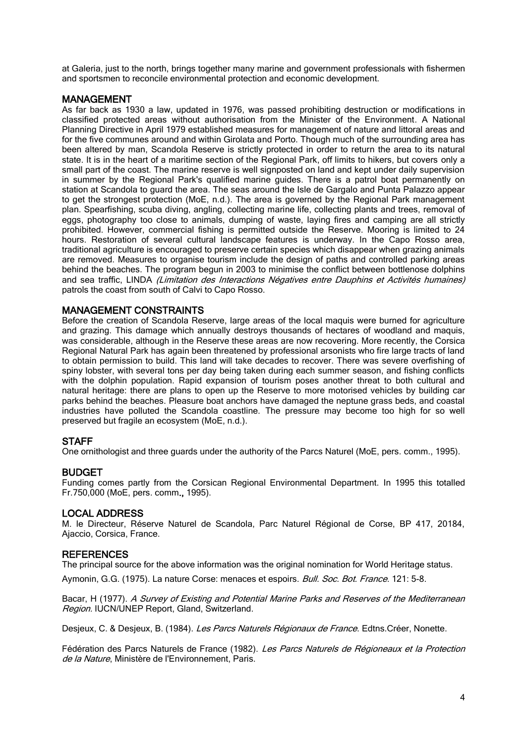at Galeria, just to the north, brings together many marine and government professionals with fishermen and sportsmen to reconcile environmental protection and economic development.

## MANAGEMENT

As far back as [1930](http://en.wikipedia.org/wiki/1930) a law, updated in 1976, was passed prohibiting destruction or modifications in classified protected areas without authorisation from the Minister of the Environment. A National Planning Directive in April 1979 established measures for management of nature and littoral areas and for the five communes around and within Girolata and Porto. Though much of the surrounding area has been altered by man, Scandola Reserve is strictly protected in order to return the area to its natural state. It is in the heart of a maritime section of the Regional Park, off limits to hikers, but covers only a small part of the coast. The marine reserve is well signposted on land and kept under daily supervision in summer by the Regional Park's qualified marine guides. There is a patrol boat permanently on station at Scandola to guard the area. The seas around the Isle de Gargalo and Punta Palazzo appear to get the strongest protection (MoE, n.d.). The area is governed by the Regional Park management plan. Spearfishing, scuba diving, angling, collecting marine life, collecting plants and trees, removal of eggs, photography too close to animals, dumping of waste, laying fires and camping are all strictly prohibited. However, commercial fishing is permitted outside the Reserve. Mooring is limited to 24 hours. Restoration of several cultural landscape features is underway. In the Capo Rosso area, traditional agriculture is encouraged to preserve certain species which disappear when grazing animals are removed. Measures to organise tourism include the design of paths and controlled parking areas behind the beaches. The program begun in 2003 to minimise the conflict between bottlenose dolphins and sea traffic, LINDA (Limitation des Interactions Négatives entre Dauphins et Activités humaines) patrols the coast from south of Calvi to Capo Rosso.

### MANAGEMENT CONSTRAINTS

Before the creation of Scandola Reserve, large areas of the local maquis were burned for agriculture and grazing. This damage which annually destroys thousands of hectares of woodland and maquis, was considerable, although in the Reserve these areas are now recovering. More recently, the Corsica Regional Natural Park has again been threatened by professional arsonists who fire large tracts of land to obtain permission to build. This land will take decades to recover. There was severe overfishing of spiny lobster, with several tons per day being taken during each summer season, and fishing conflicts with the dolphin population. Rapid expansion of tourism poses another threat to both cultural and natural heritage: there are plans to open up the Reserve to more motorised vehicles by building car parks behind the beaches. Pleasure boat anchors have damaged the neptune grass beds, and coastal industries have polluted the Scandola coastline. The pressure may become too high for so well preserved but fragile an ecosystem (MoE, n.d.).

# **STAFF**

One ornithologist and three guards under the authority of the Parcs Naturel (MoE, pers. comm., 1995).

#### BUDGET

Funding comes partly from the Corsican Regional Environmental Department. In 1995 this totalled Fr.750,000 (MoE, pers. comm., 1995).

#### LOCAL ADDRESS

M. le Directeur, Réserve Naturel de Scandola, Parc Naturel Régional de Corse, BP 417, 20184, Ajaccio, Corsica, France.

#### **REFERENCES**

The principal source for the above information was the original nomination for World Heritage status.

Aymonin, G.G. (1975). La nature Corse: menaces et espoirs. Bull. Soc. Bot. France. 121: 5-8.

Bacar, H (1977). A Survey of Existing and Potential Marine Parks and Reserves of the Mediterranean Region. IUCN/UNEP Report, Gland, Switzerland.

Desjeux, C. & Desjeux, B. (1984). Les Parcs Naturels Régionaux de France. Edtns.Créer, Nonette.

Fédération des Parcs Naturels de France (1982). Les Parcs Naturels de Régioneaux et la Protection de la Nature, Ministère de l'Environnement, Paris.